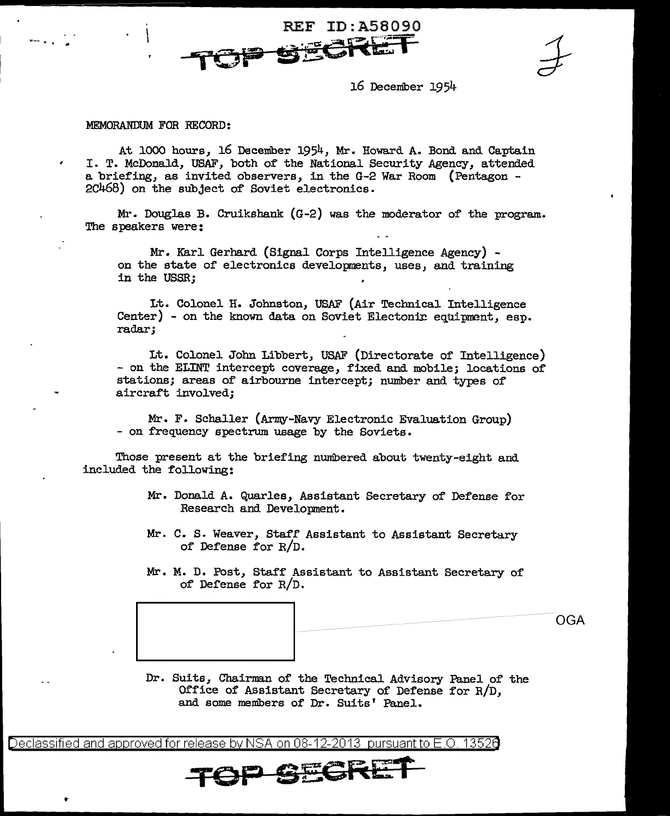**REF ID: A58090** 

16 December 19 5li·

## MEMORANDUM FOR RECORD:

"'-- . . .

..

At 1000 hours, 16 Deceniber 1954, Mr. Howard A. Bond and Captain I. T. McDonald, USAF, both of the National Security Agency, attended a briefing, as invited observers, in the G-2 War Room (Pentagon - 2C468) on the subject of Soviet electronics.

Mr. Douglas B. Cruikshank (G-2) was the moderator of the program. The speakers were:

Mr. Karl Gerhard (Signal Corps Intelligence Agency) on the state of electronics developments, uses, and training in the USSR;

Lt. Colonel H. Johnston, USAF (Air Technical Intelligence  $Center)$  - on the known data on Soviet Electonic equipment, esp. radar;

Lt. Colonel John Libbert, US.AF (Directorate of Intelligence) - on the ELINT intercept coverage, fixed and mobile; locations of stations; areas of airbourne intercept; number and types of aircraft involved;

Mr. F. Schaller (Army-Navy Electronic Evaluation Group) - on frequency spectrum usage by the Soviets.

Those present at the briefing numbered about twenty-eight and included the following:

- Mr. Donald A. Quarles, Assistant Secretary of Defense for Research and Development.
- Mr. C. S. Weaver, Staff Assistant to Assistant Secretary of Defense for R/D.

Mr. M. D. Post, Staff Assistant to Assistant Secretary of of De£ense for R/D.

OGA

Dr. Suits, Chairman of the Technical Advisory Panel of the Office of Assistant Secretary of Defense for R/D, and some members of Dr. Suits' Panel.

Declassified and approved for release by NSA on 08-12-2013  $\,$  pursuant to E.O. 13526  $\,$ 

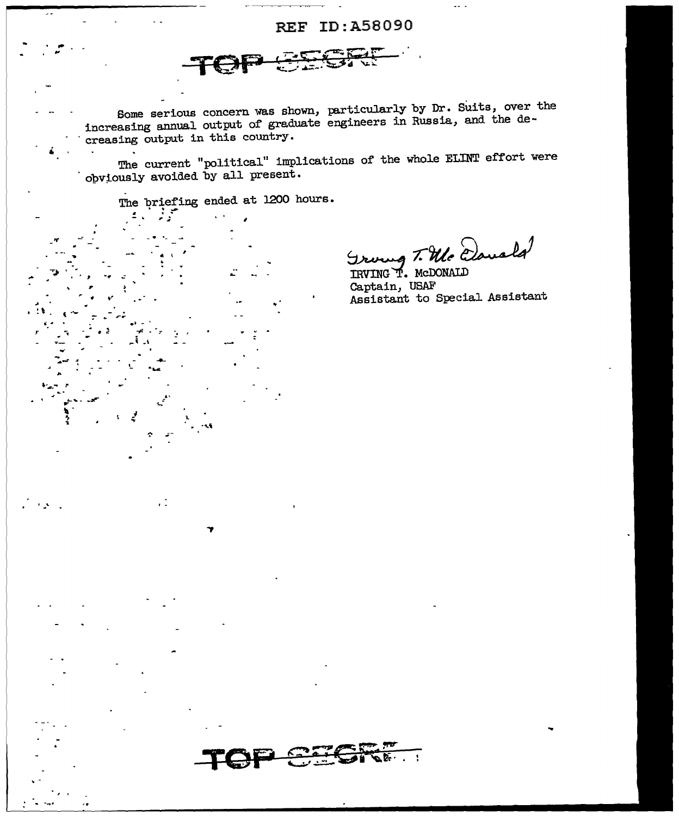## REF ID: A58090



Some serious concern was shown, particularly by Dr. Suits, over the increasing annual output of graduate engineers in Russia, and the decreasing output in this country.

The current "political" implications of the whole ELINT effort were<br>obviously avoided by all present.

The briefing ended at 1200 hours.

 $\cdot$  :

Groung T. Mc Davald

IRVING T. MCDONALD Captain, USAF Assistant to Special Assistant

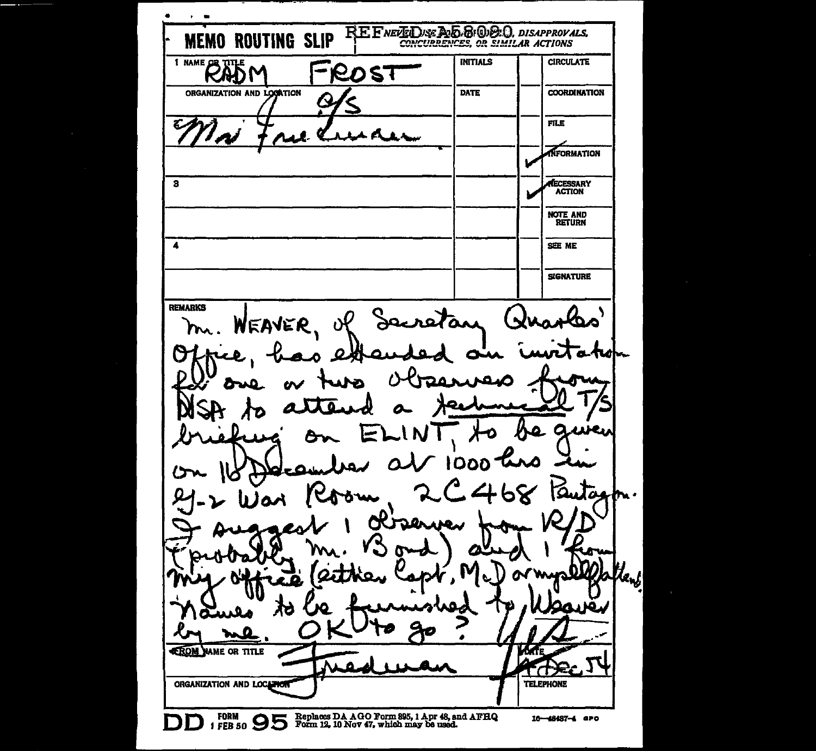$\blacksquare$  $\cdot$  $\overline{\phantom{a}}$ REFNETED SE DE BOBBO, DISAPPROVALS, **MEMO ROUTING SLIP** <sup>1 NAME</sup> **INITIALS CIRCULATE** ROST 9D L DATE **COORDINATION** ORGANIZATION AND LOGATION A **FILE NFORMATION**  $\overline{\mathbf{a}}$ RECESSARY **ACTION** NOTE AND **RETURN**  $\overline{\mathbf{A}}$ SEE ME **SIGNATURE REMARKS** retan ۱. WEAVER m. C £ റമറ Ω Гд. h. . بمقد سجد O -2 lenj ó. **CROM** WAME OR TITLE МE ORGANIZATION AND LOCATION **TELEPHONE** FORM SEE SO SOLO FORM 12, 10 Nov 47, which may be used. 16-48487-4 aPO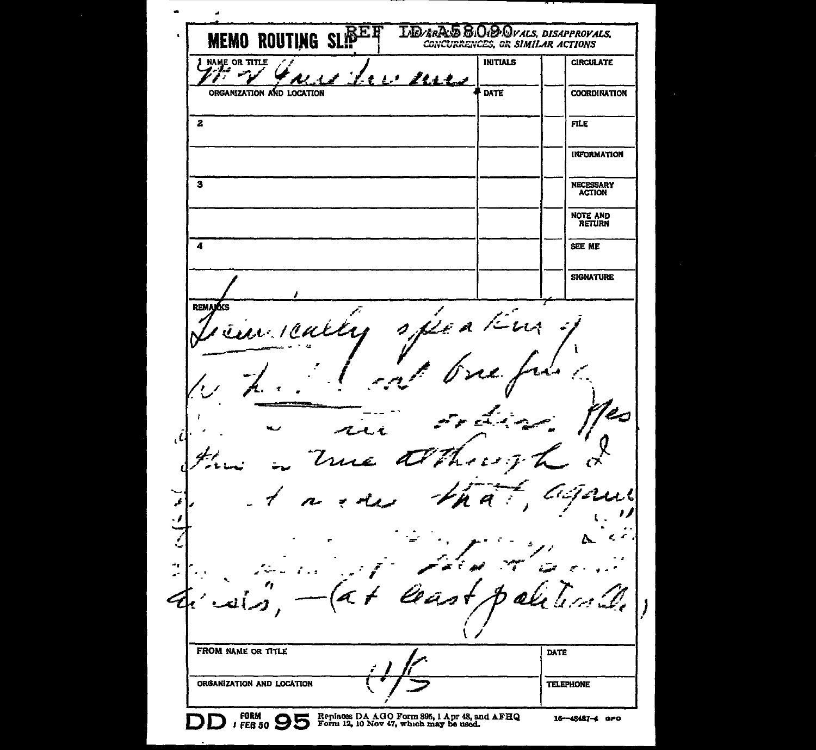**MEMO ROUTING SLIPER LIEVERAS & OID OVALS, DISAPPROVALS,** CONCURRENCES, OR SIMILAR ACTIONS NAME OR TITLE **INITIALS CIRCULATE**  $\bullet$ 21.L.L ORGANIZATION AND LOCATION **DATE COORDINATION**  $\overline{2}$ **FILE INFORMATION**  $\overline{\mathbf{3}}$ NECESSARY<br>ACTION **NOTE AND<br>RETURN** 4 SEE ME **SIGNATURE** REMARKS  $2.11$ 44 <u>ie d</u>  $\mathcal{A}$ me  $\Delta$ Î, ۰. . FROM NAME OR TITLE DATE ORGANIZATION AND LOCATION **TELEPHONE**  $T$  FEB 50  $95$ **FORM** Replaces DA AGO Form 395, 1 Apr 48, and AFHQ<br>Form 12, 10 Nov 47, which may be used. 16-48487-4 apo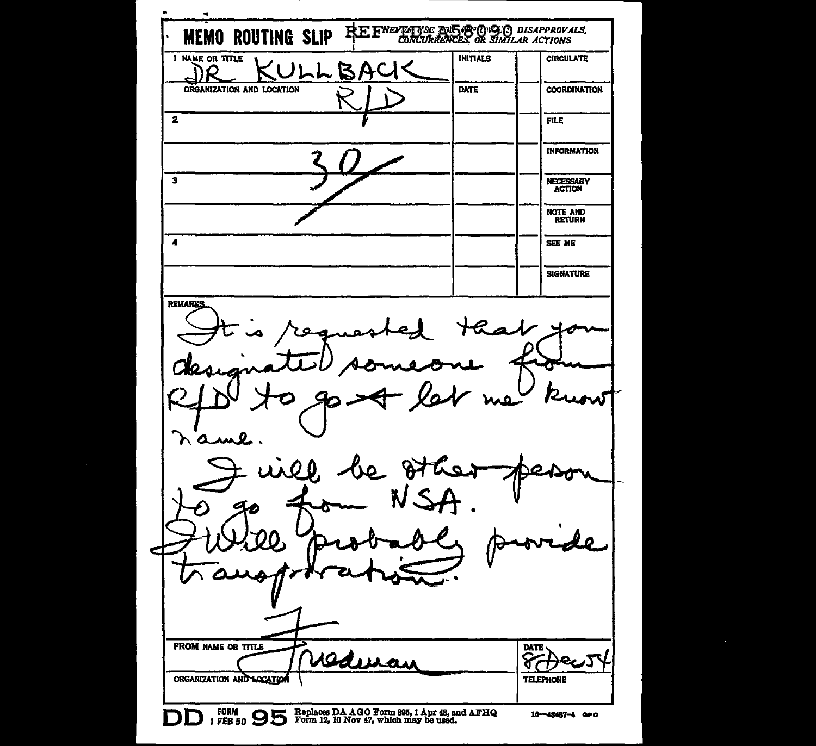REF<sup>NEVER</sup>ING POLSEY (NOTE) DISAPPROVALS, **MEMO ROUTING SLIP** 1 NAME OR TITLE INITIALS **CIRCULATE** ハレレ  $\mathbf{Z}$ ORGANIZATION AND LOCATION **DATE COORDINATION**  $\overline{\mathbf{2}}$ **FILE INFORMATION**  $\overline{\mathbf{3}}$ NECESSARY<br>ACTION **NOTE AND** RETURN  $\boldsymbol{A}$ SEE ME **SIGNATURE REMARKS**  $\Omega$ n'ame LA 00. **FROM NAME OR TITLE** DATE <u>redevan</u> ଟ ORGANIZATION AND LOCATION **TELEPHONE** FORM 95 DE Replaces DA AGO Form 895, 1 Apr 48, and AFHQ 16-48487-4 GPO D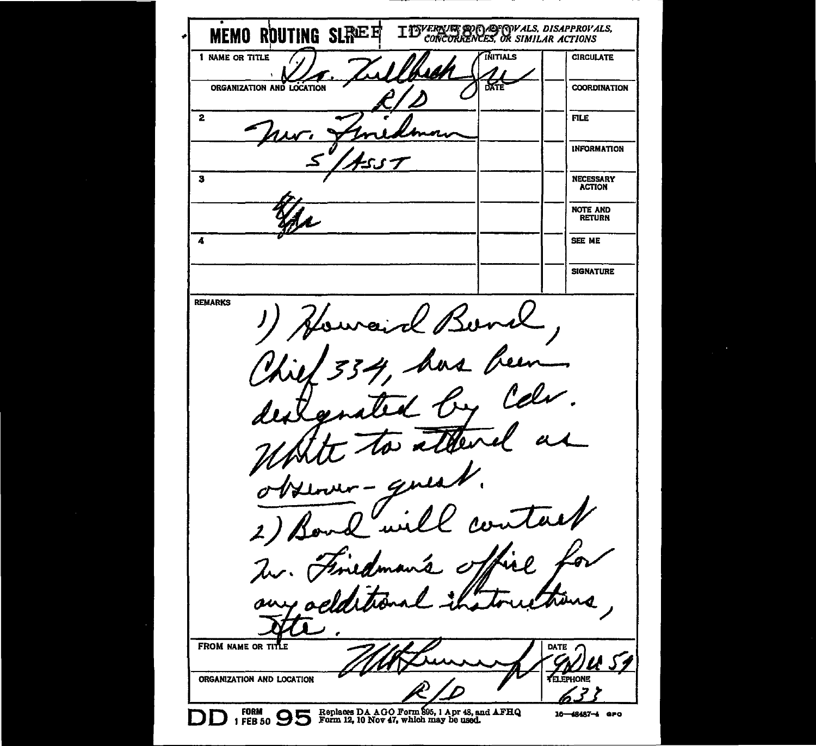IDVERNE OR APPROVALS, DISAPPROVALS, MEMO ROUTING SLREE INITIALS 1 NAME OR TITLE **CIRCULATE** 83 ORGANIZATION AND LOCATION **COORDINATION**  $\overline{2}$ **FILE INFORMATION** NECESSARY<br>ACTION  $\overline{\mathbf{a}}$ **NOTE AND RETURN**  $\overline{4}$ SEE ME **SIGNATURE REMARKS** Bond  $\overline{\phantom{a}}$ Un, **A** 7 FROM NAME OR TIT DATE **VELEPHONE** ORGANIZATION AND LOCATION **DD** FORM **9 5** For Replaces DA AGO Form \$95, 1 Apr 48, and AFHQ<br>Form 12, 10 Nov 47, which may be used. 16-48487-4 GPO